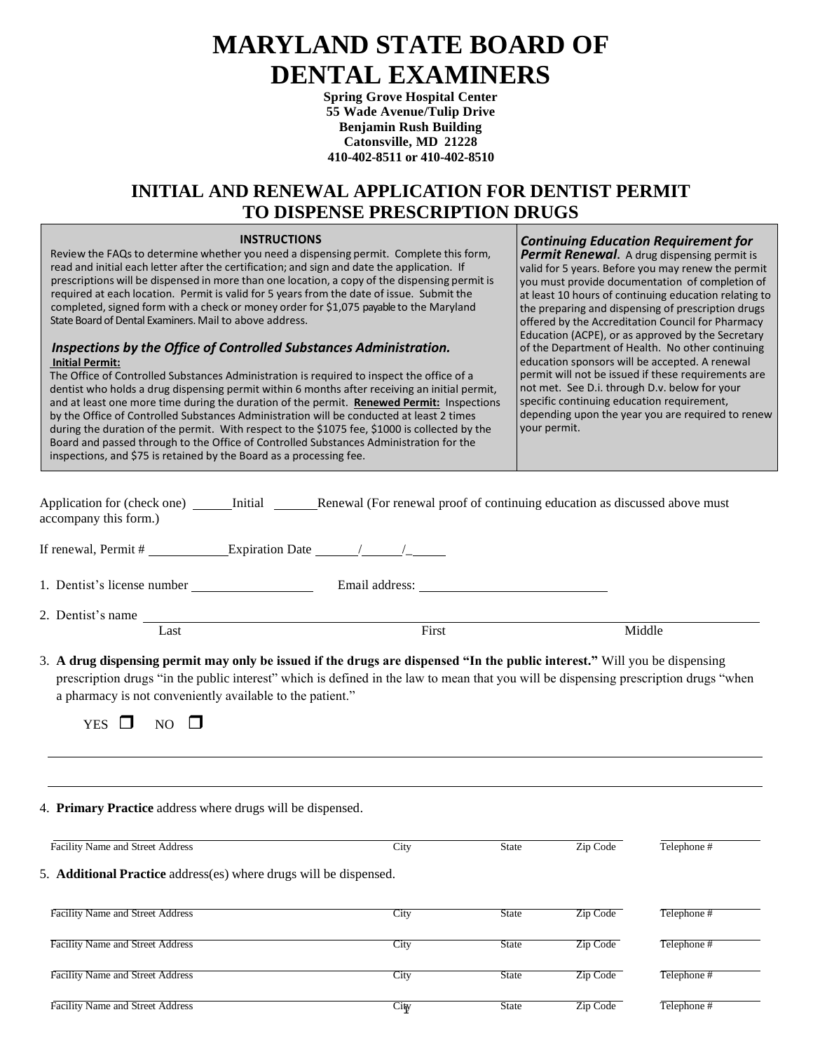# **MARYLAND STATE BOARD OF DENTAL EXAMINERS**

**Spring Grove Hospital Center 55 Wade Avenue/Tulip Drive Benjamin Rush Building Catonsville, MD 21228 410-402-8511 or 410-402-8510**

# **INITIAL AND RENEWAL APPLICATION FOR DENTIST PERMIT TO DISPENSE PRESCRIPTION DRUGS**

#### **INSTRUCTIONS**

 Review the FAQs to determine whether you need a dispensing permit. Complete this form, read and initial each letter after the certification; and sign and date the application. If prescriptions will be dispensed in more than one location, a copy of the dispensing permit is required at each location. Permit is valid for 5 years from the date of issue. Submit the completed, signed form with a check or money order for \$1,075 payable to the Maryland State Board of Dental Examiners. Mail to above address.

#### *Inspections by the Office of Controlled Substances Administration.*  **Initial Permit:**

The Office of Controlled Substances Administration is required to inspect the office of a dentist who holds a drug dispensing permit within 6 months after receiving an initial permit, and at least one more time during the duration of the permit. **Renewed Permit:** Inspections by the Office of Controlled Substances Administration will be conducted at least 2 times during the duration of the permit. With respect to the \$1075 fee, \$1000 is collected by the Board and passed through to the Office of Controlled Substances Administration for the inspections, and \$75 is retained by the Board as a processing fee.

*Continuing Education Requirement for* **Permit Renewal.** A drug dispensing permit is valid for 5 years. Before you may renew the permit you must provide documentation of completion of at least 10 hours of continuing education relating to the preparing and dispensing of prescription drugs offered by the Accreditation Council for Pharmacy Education (ACPE), or as approved by the Secretary of the Department of Health. No other continuing education sponsors will be accepted. A renewal permit will not be issued if these requirements are not met. See D.i. through D.v. below for your specific continuing education requirement, depending upon the year you are required to renew your permit.

| Application for (check one) _______ Initial _________ Renewal (For renewal proof of continuing education as discussed above must<br>accompany this form.)                                                                                                                                                                                                             |       |              |          |             |
|-----------------------------------------------------------------------------------------------------------------------------------------------------------------------------------------------------------------------------------------------------------------------------------------------------------------------------------------------------------------------|-------|--------------|----------|-------------|
| If renewal, Permit # $\_\_\_\_\_$ Expiration Date $\_\_\_\_\_\_\_$                                                                                                                                                                                                                                                                                                    |       |              |          |             |
|                                                                                                                                                                                                                                                                                                                                                                       |       |              |          |             |
| 2. Dentist's name<br>Last                                                                                                                                                                                                                                                                                                                                             | First |              |          | Middle      |
| 3. A drug dispensing permit may only be issued if the drugs are dispensed "In the public interest." Will you be dispensing<br>prescription drugs "in the public interest" which is defined in the law to mean that you will be dispensing prescription drugs "when<br>a pharmacy is not conveniently available to the patient."<br><b>YES</b><br>NO $\Box$<br>$\perp$ |       |              |          |             |
| 4. Primary Practice address where drugs will be dispensed.                                                                                                                                                                                                                                                                                                            |       |              |          |             |
| Facility Name and Street Address                                                                                                                                                                                                                                                                                                                                      | City  | <b>State</b> | Zip Code | Telephone # |
| 5. Additional Practice address(es) where drugs will be dispensed.                                                                                                                                                                                                                                                                                                     |       |              |          |             |
| Facility Name and Street Address                                                                                                                                                                                                                                                                                                                                      | City  | <b>State</b> | Zip Code | Telephone#  |

City

Facility Name and Street Address City State Zip Code Telephone #

Facility Name and Street Address City State Zip Code Telephone #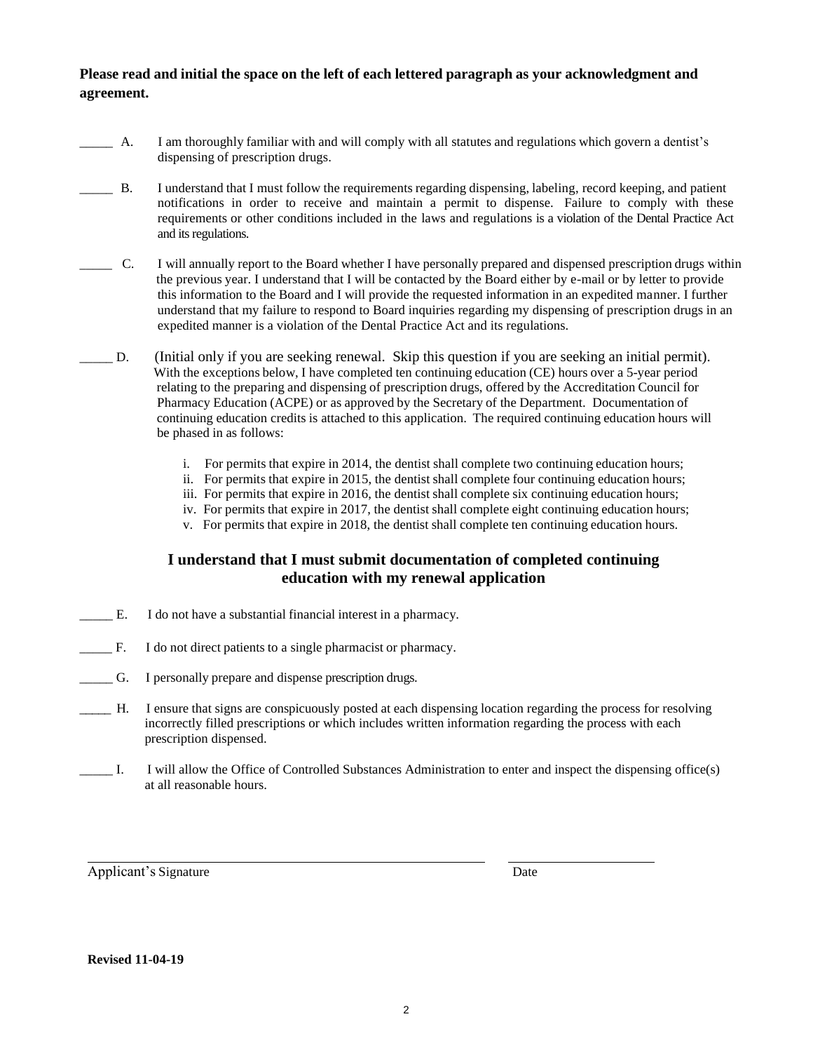#### **Please read and initial the space on the left of each lettered paragraph as your acknowledgment and agreement.**

- A. I am thoroughly familiar with and will comply with all statutes and regulations which govern a dentist's dispensing of prescription drugs.
- \_\_\_\_\_ B. I understand that I must follow the requirements regarding dispensing, labeling, record keeping, and patient notifications in order to receive and maintain a permit to dispense. Failure to comply with these requirements or other conditions included in the laws and regulations is a violation of the Dental Practice Act and its regulations.
- \_\_\_\_\_ C. I will annually report to the Board whether I have personally prepared and dispensed prescription drugs within the previous year. I understand that I will be contacted by the Board either by e-mail or by letter to provide this information to the Board and I will provide the requested information in an expedited manner. I further understand that my failure to respond to Board inquiries regarding my dispensing of prescription drugs in an expedited manner is a violation of the Dental Practice Act and its regulations.
- \_\_\_\_\_ D. (Initial only if you are seeking renewal. Skip this question if you are seeking an initial permit). With the exceptions below, I have completed ten continuing education (CE) hours over a 5-year period relating to the preparing and dispensing of prescription drugs, offered by the Accreditation Council for Pharmacy Education (ACPE) or as approved by the Secretary of the Department. Documentation of continuing education credits is attached to this application. The required continuing education hours will be phased in as follows:
	- i. For permits that expire in 2014, the dentist shall complete two continuing education hours;
	- ii. For permits that expire in 2015, the dentist shall complete four continuing education hours;
	- iii. For permits that expire in 2016, the dentist shall complete six continuing education hours;
	- iv. For permits that expire in 2017, the dentist shall complete eight continuing education hours;
	- v. For permits that expire in 2018, the dentist shall complete ten continuing education hours.

#### **I understand that I must submit documentation of completed continuing education with my renewal application**

- \_\_\_\_\_ E. I do not have a substantial financial interest in a pharmacy.
- \_\_\_\_\_ F. I do not direct patients to a single pharmacist or pharmacy.
- \_\_\_\_\_ G. I personally prepare and dispense prescription drugs.
- \_\_\_\_\_ H. I ensure that signs are conspicuously posted at each dispensing location regarding the process for resolving incorrectly filled prescriptions or which includes written information regarding the process with each prescription dispensed.
- \_\_\_\_\_ I. I will allow the Office of Controlled Substances Administration to enter and inspect the dispensing office(s) at all reasonable hours.

Applicant's Signature Date

**Revised 11-04-19**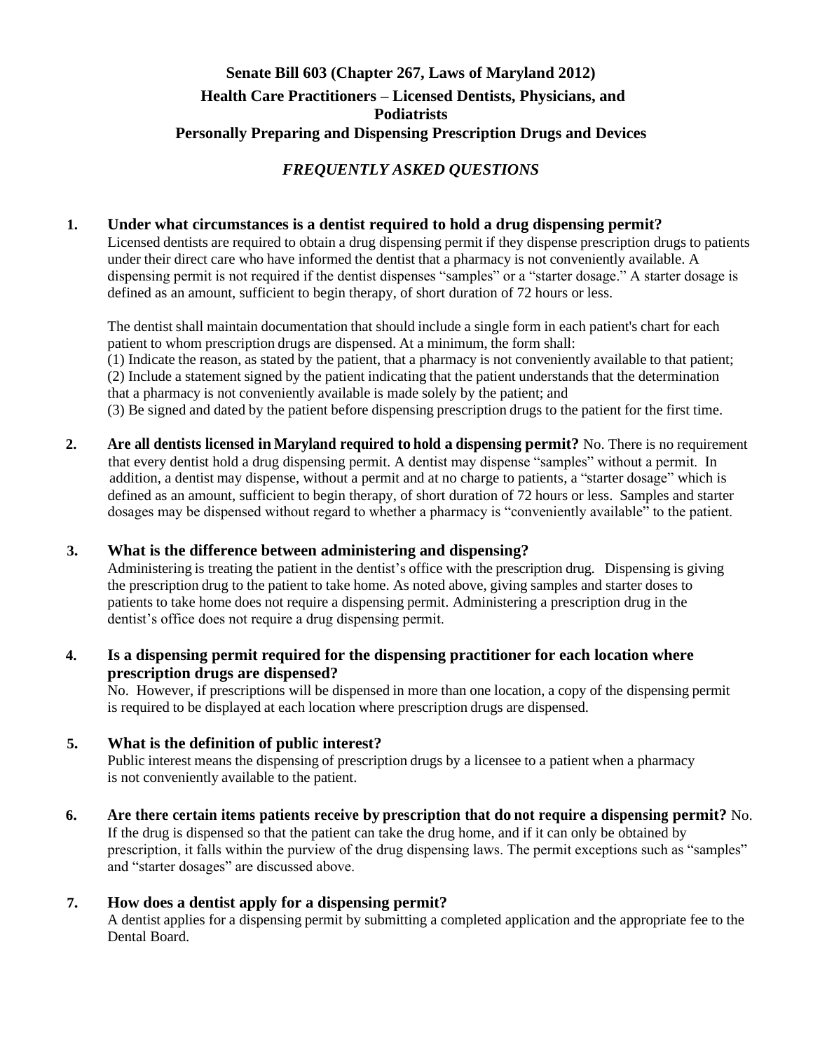# **Senate Bill 603 (Chapter 267, Laws of Maryland 2012) Health Care Practitioners – Licensed Dentists, Physicians, and Podiatrists Personally Preparing and Dispensing Prescription Drugs and Devices**

# *FREQUENTLY ASKED QUESTIONS*

## **1. Under what circumstances is a dentist required to hold a drug dispensing permit?**

Licensed dentists are required to obtain a drug dispensing permit if they dispense prescription drugs to patients under their direct care who have informed the dentist that a pharmacy is not conveniently available. A dispensing permit is not required if the dentist dispenses "samples" or a "starter dosage." A starter dosage is defined as an amount, sufficient to begin therapy, of short duration of 72 hours or less.

The dentist shall maintain documentation that should include a single form in each patient's chart for each patient to whom prescription drugs are dispensed. At a minimum, the form shall:

(1) Indicate the reason, as stated by the patient, that a pharmacy is not conveniently available to that patient; (2) Include a statement signed by the patient indicating that the patient understandsthat the determination that a pharmacy is not conveniently available is made solely by the patient; and

(3) Be signed and dated by the patient before dispensing prescription drugs to the patient for the first time.

**2. Are all dentists licensed in Maryland required to hold a dispensing permit?** No. There is no requirement that every dentist hold a drug dispensing permit. A dentist may dispense "samples" without a permit. In addition, a dentist may dispense, without a permit and at no charge to patients, a "starter dosage" which is defined as an amount, sufficient to begin therapy, of short duration of 72 hours or less. Samples and starter dosages may be dispensed without regard to whether a pharmacy is "conveniently available" to the patient.

#### **3. What is the difference between administering and dispensing?**

Administering is treating the patient in the dentist's office with the prescription drug. Dispensing is giving the prescription drug to the patient to take home. As noted above, giving samples and starter doses to patients to take home does not require a dispensing permit. Administering a prescription drug in the dentist's office does not require a drug dispensing permit.

## **4. Is a dispensing permit required for the dispensing practitioner for each location where prescription drugs are dispensed?**

No. However, if prescriptions will be dispensed in more than one location, a copy of the dispensing permit is required to be displayed at each location where prescription drugs are dispensed.

#### **5. What is the definition of public interest?**

Public interest means the dispensing of prescription drugs by a licensee to a patient when a pharmacy is not conveniently available to the patient.

**6. Are there certain items patients receive by prescription that do not require a dispensing permit?** No. If the drug is dispensed so that the patient can take the drug home, and if it can only be obtained by prescription, it falls within the purview of the drug dispensing laws. The permit exceptions such as "samples" and "starter dosages" are discussed above.

#### **7. How does a dentist apply for a dispensing permit?**

A dentist applies for a dispensing permit by submitting a completed application and the appropriate fee to the Dental Board.